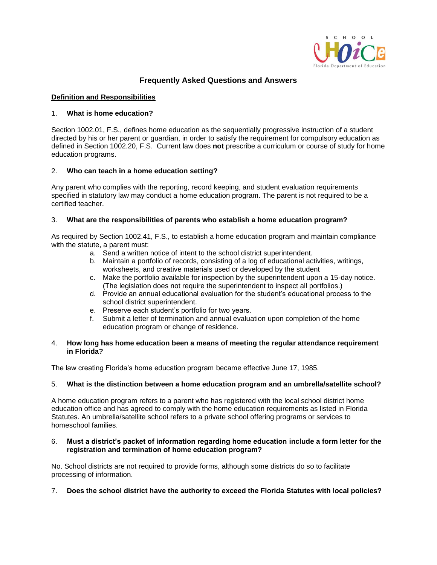

# **Frequently Asked Questions and Answers**

# **Definition and Responsibilities**

# 1. **What is home education?**

Section 1002.01, F.S., defines home education as the sequentially progressive instruction of a student directed by his or her parent or guardian, in order to satisfy the requirement for compulsory education as defined in Section 1002.20, F.S. Current law does **not** prescribe a curriculum or course of study for home education programs.

# 2. **Who can teach in a home education setting?**

Any parent who complies with the reporting, record keeping, and student evaluation requirements specified in statutory law may conduct a home education program. The parent is not required to be a certified teacher.

# 3. **What are the responsibilities of parents who establish a home education program?**

As required by Section 1002.41, F.S., to establish a home education program and maintain compliance with the statute, a parent must:

- a. Send a written notice of intent to the school district superintendent.
- b. Maintain a portfolio of records, consisting of a log of educational activities, writings, worksheets, and creative materials used or developed by the student
- c. Make the portfolio available for inspection by the superintendent upon a 15-day notice. (The legislation does not require the superintendent to inspect all portfolios.)
- d. Provide an annual educational evaluation for the student's educational process to the school district superintendent.
- e. Preserve each student's portfolio for two years.
- f. Submit a letter of termination and annual evaluation upon completion of the home education program or change of residence.

### 4. **How long has home education been a means of meeting the regular attendance requirement in Florida?**

The law creating Florida's home education program became effective June 17, 1985.

### 5. **What is the distinction between a home education program and an umbrella/satellite school?**

A home education program refers to a parent who has registered with the local school district home education office and has agreed to comply with the home education requirements as listed in Florida Statutes. An umbrella/satellite school refers to a private school offering programs or services to homeschool families.

### 6. **Must a district's packet of information regarding home education include a form letter for the registration and termination of home education program?**

No. School districts are not required to provide forms, although some districts do so to facilitate processing of information.

# 7. **Does the school district have the authority to exceed the Florida Statutes with local policies?**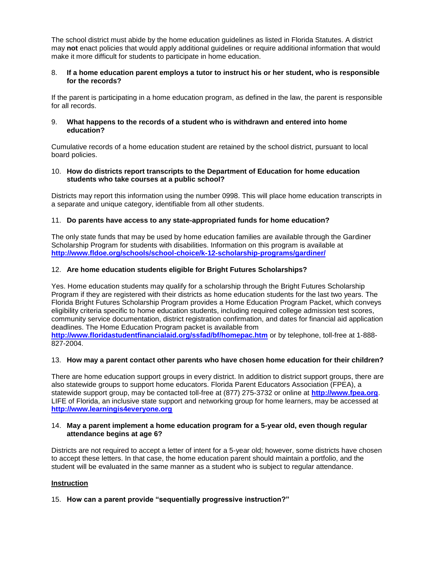The school district must abide by the home education guidelines as listed in Florida Statutes. A district may **not** enact policies that would apply additional guidelines or require additional information that would make it more difficult for students to participate in home education.

### 8. **If a home education parent employs a tutor to instruct his or her student, who is responsible for the records?**

If the parent is participating in a home education program, as defined in the law, the parent is responsible for all records.

#### 9. **What happens to the records of a student who is withdrawn and entered into home education?**

Cumulative records of a home education student are retained by the school district, pursuant to local board policies.

#### 10. **How do districts report transcripts to the Department of Education for home education students who take courses at a public school?**

Districts may report this information using the number 0998. This will place home education transcripts in a separate and unique category, identifiable from all other students.

### 11. **Do parents have access to any state-appropriated funds for home education?**

The only state funds that may be used by home education families are available through the Gardiner Scholarship Program for students with disabilities. Information on this program is available at **<http://www.fldoe.org/schools/school-choice/k-12-scholarship-programs/gardiner/>**

### 12. **Are home education students eligible for Bright Futures Scholarships?**

Yes. Home education students may qualify for a scholarship through the Bright Futures Scholarship Program if they are registered with their districts as home education students for the last two years. The Florida Bright Futures Scholarship Program provides a Home Education Program Packet, which conveys eligibility criteria specific to home education students, including required college admission test scores, community service documentation, district registration confirmation, and dates for financial aid application deadlines. The Home Education Program packet is available from **<http://www.floridastudentfinancialaid.org/ssfad/bf/homepac.htm>** or by telephone, toll-free at 1-888- 827-2004.

### 13. **How may a parent contact other parents who have chosen home education for their children?**

There are home education support groups in every district. In addition to district support groups, there are also statewide groups to support home educators. Florida Parent Educators Association (FPEA), a statewide support group, may be contacted toll-free at (877) 275-3732 or online at **[http://www.fpea.org](http://www.fpea.org/)**. LIFE of Florida, an inclusive state support and networking group for home learners, may be accessed at **[http://www.learningis4everyone.org](http://www.learningis4everyone.org/)**

#### 14. **May a parent implement a home education program for a 5-year old, even though regular attendance begins at age 6?**

Districts are not required to accept a letter of intent for a 5-year old; however, some districts have chosen to accept these letters. In that case, the home education parent should maintain a portfolio, and the student will be evaluated in the same manner as a student who is subject to regular attendance.

### **Instruction**

### 15. **How can a parent provide "sequentially progressive instruction?"**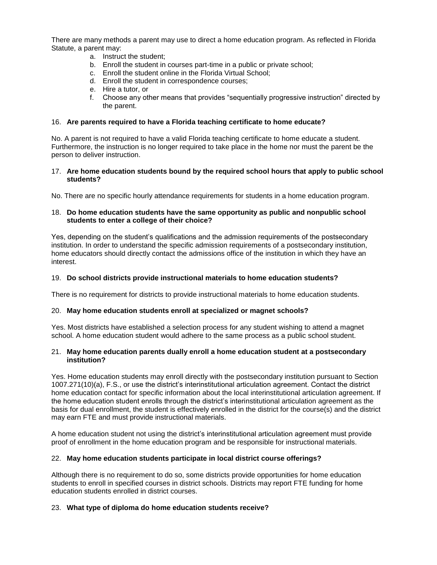There are many methods a parent may use to direct a home education program. As reflected in Florida Statute, a parent may:

- a. Instruct the student;
- b. Enroll the student in courses part-time in a public or private school;
- c. Enroll the student online in the Florida Virtual School;
- d. Enroll the student in correspondence courses;
- e. Hire a tutor, or
- f. Choose any other means that provides "sequentially progressive instruction" directed by the parent.

### 16. **Are parents required to have a Florida teaching certificate to home educate?**

No. A parent is not required to have a valid Florida teaching certificate to home educate a student. Furthermore, the instruction is no longer required to take place in the home nor must the parent be the person to deliver instruction.

#### 17. **Are home education students bound by the required school hours that apply to public school students?**

No. There are no specific hourly attendance requirements for students in a home education program.

### 18. **Do home education students have the same opportunity as public and nonpublic school students to enter a college of their choice?**

Yes, depending on the student's qualifications and the admission requirements of the postsecondary institution. In order to understand the specific admission requirements of a postsecondary institution, home educators should directly contact the admissions office of the institution in which they have an interest.

### 19. **Do school districts provide instructional materials to home education students?**

There is no requirement for districts to provide instructional materials to home education students.

### 20. **May home education students enroll at specialized or magnet schools?**

Yes. Most districts have established a selection process for any student wishing to attend a magnet school. A home education student would adhere to the same process as a public school student.

#### 21. **May home education parents dually enroll a home education student at a postsecondary institution?**

Yes. Home education students may enroll directly with the postsecondary institution pursuant to Section 1007.271(10)(a), F.S., or use the district's interinstitutional articulation agreement. Contact the district home education contact for specific information about the local interinstitutional articulation agreement. If the home education student enrolls through the district's interinstitutional articulation agreement as the basis for dual enrollment, the student is effectively enrolled in the district for the course(s) and the district may earn FTE and must provide instructional materials.

A home education student not using the district's interinstitutional articulation agreement must provide proof of enrollment in the home education program and be responsible for instructional materials.

### 22. **May home education students participate in local district course offerings?**

Although there is no requirement to do so, some districts provide opportunities for home education students to enroll in specified courses in district schools. Districts may report FTE funding for home education students enrolled in district courses.

### 23. **What type of diploma do home education students receive?**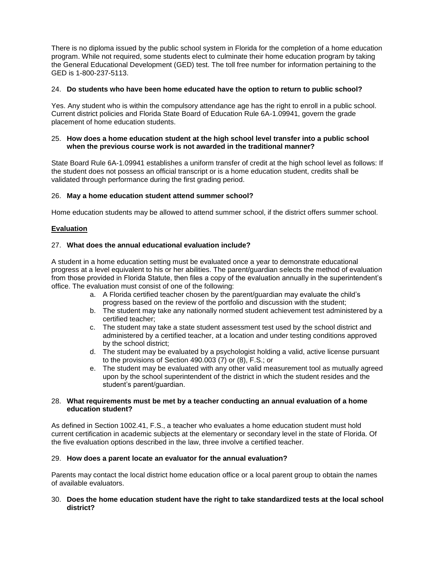There is no diploma issued by the public school system in Florida for the completion of a home education program. While not required, some students elect to culminate their home education program by taking the General Educational Development (GED) test. The toll free number for information pertaining to the GED is 1-800-237-5113.

# 24. **Do students who have been home educated have the option to return to public school?**

Yes. Any student who is within the compulsory attendance age has the right to enroll in a public school. Current district policies and Florida State Board of Education Rule 6A-1.09941, govern the grade placement of home education students.

### 25. **How does a home education student at the high school level transfer into a public school when the previous course work is not awarded in the traditional manner?**

State Board Rule 6A-1.09941 establishes a uniform transfer of credit at the high school level as follows: If the student does not possess an official transcript or is a home education student, credits shall be validated through performance during the first grading period.

# 26. **May a home education student attend summer school?**

Home education students may be allowed to attend summer school, if the district offers summer school.

# **Evaluation**

# 27. **What does the annual educational evaluation include?**

A student in a home education setting must be evaluated once a year to demonstrate educational progress at a level equivalent to his or her abilities. The parent/guardian selects the method of evaluation from those provided in Florida Statute, then files a copy of the evaluation annually in the superintendent's office. The evaluation must consist of one of the following:

- a. A Florida certified teacher chosen by the parent/guardian may evaluate the child's progress based on the review of the portfolio and discussion with the student;
- b. The student may take any nationally normed student achievement test administered by a certified teacher;
- c. The student may take a state student assessment test used by the school district and administered by a certified teacher, at a location and under testing conditions approved by the school district;
- d. The student may be evaluated by a psychologist holding a valid, active license pursuant to the provisions of Section 490.003 (7) or (8), F.S.; or
- e. The student may be evaluated with any other valid measurement tool as mutually agreed upon by the school superintendent of the district in which the student resides and the student's parent/guardian.

### 28. **What requirements must be met by a teacher conducting an annual evaluation of a home education student?**

As defined in Section 1002.41, F.S., a teacher who evaluates a home education student must hold current certification in academic subjects at the elementary or secondary level in the state of Florida. Of the five evaluation options described in the law, three involve a certified teacher.

### 29. **How does a parent locate an evaluator for the annual evaluation?**

Parents may contact the local district home education office or a local parent group to obtain the names of available evaluators.

### 30. **Does the home education student have the right to take standardized tests at the local school district?**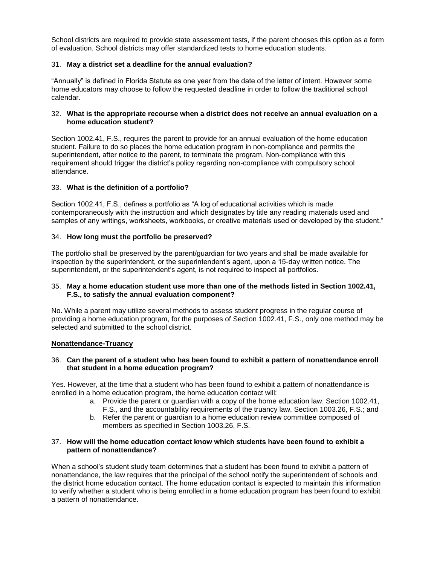School districts are required to provide state assessment tests, if the parent chooses this option as a form of evaluation. School districts may offer standardized tests to home education students.

### 31. **May a district set a deadline for the annual evaluation?**

"Annually" is defined in Florida Statute as one year from the date of the letter of intent. However some home educators may choose to follow the requested deadline in order to follow the traditional school calendar.

### 32. **What is the appropriate recourse when a district does not receive an annual evaluation on a home education student?**

Section 1002.41, F.S., requires the parent to provide for an annual evaluation of the home education student. Failure to do so places the home education program in non-compliance and permits the superintendent, after notice to the parent, to terminate the program. Non-compliance with this requirement should trigger the district's policy regarding non-compliance with compulsory school attendance.

### 33. **What is the definition of a portfolio?**

Section 1002.41, F.S., defines a portfolio as "A log of educational activities which is made contemporaneously with the instruction and which designates by title any reading materials used and samples of any writings, worksheets, workbooks, or creative materials used or developed by the student."

# 34. **How long must the portfolio be preserved?**

The portfolio shall be preserved by the parent/guardian for two years and shall be made available for inspection by the superintendent, or the superintendent's agent, upon a 15-day written notice. The superintendent, or the superintendent's agent, is not required to inspect all portfolios.

### 35. **May a home education student use more than one of the methods listed in Section 1002.41, F.S., to satisfy the annual evaluation component?**

No. While a parent may utilize several methods to assess student progress in the regular course of providing a home education program, for the purposes of Section 1002.41, F.S., only one method may be selected and submitted to the school district.

### **Nonattendance-Truancy**

# 36. **Can the parent of a student who has been found to exhibit a pattern of nonattendance enroll that student in a home education program?**

Yes. However, at the time that a student who has been found to exhibit a pattern of nonattendance is enrolled in a home education program, the home education contact will:

- a. Provide the parent or guardian with a copy of the home education law, Section 1002.41, F.S., and the accountability requirements of the truancy law, Section 1003.26, F.S.; and
- b. Refer the parent or guardian to a home education review committee composed of members as specified in Section 1003.26, F.S.

### 37. **How will the home education contact know which students have been found to exhibit a pattern of nonattendance?**

When a school's student study team determines that a student has been found to exhibit a pattern of nonattendance, the law requires that the principal of the school notify the superintendent of schools and the district home education contact. The home education contact is expected to maintain this information to verify whether a student who is being enrolled in a home education program has been found to exhibit a pattern of nonattendance.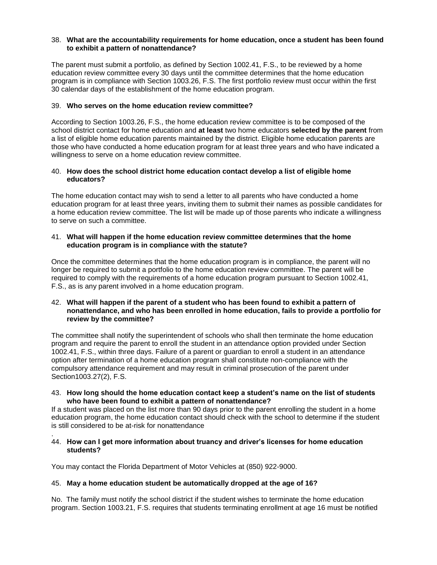### 38. **What are the accountability requirements for home education, once a student has been found to exhibit a pattern of nonattendance?**

The parent must submit a portfolio, as defined by Section 1002.41, F.S., to be reviewed by a home education review committee every 30 days until the committee determines that the home education program is in compliance with Section 1003.26, F.S. The first portfolio review must occur within the first 30 calendar days of the establishment of the home education program.

### 39. **Who serves on the home education review committee?**

According to Section 1003.26, F.S., the home education review committee is to be composed of the school district contact for home education and **at least** two home educators **selected by the parent** from a list of eligible home education parents maintained by the district. Eligible home education parents are those who have conducted a home education program for at least three years and who have indicated a willingness to serve on a home education review committee.

### 40. **How does the school district home education contact develop a list of eligible home educators?**

The home education contact may wish to send a letter to all parents who have conducted a home education program for at least three years, inviting them to submit their names as possible candidates for a home education review committee. The list will be made up of those parents who indicate a willingness to serve on such a committee.

### 41. **What will happen if the home education review committee determines that the home education program is in compliance with the statute?**

Once the committee determines that the home education program is in compliance, the parent will no longer be required to submit a portfolio to the home education review committee. The parent will be required to comply with the requirements of a home education program pursuant to Section 1002.41, F.S., as is any parent involved in a home education program.

### 42. **What will happen if the parent of a student who has been found to exhibit a pattern of nonattendance, and who has been enrolled in home education, fails to provide a portfolio for review by the committee?**

The committee shall notify the superintendent of schools who shall then terminate the home education program and require the parent to enroll the student in an attendance option provided under Section 1002.41, F.S., within three days. Failure of a parent or guardian to enroll a student in an attendance option after termination of a home education program shall constitute non-compliance with the compulsory attendance requirement and may result in criminal prosecution of the parent under Section1003.27(2), F.S.

### 43. **How long should the home education contact keep a student's name on the list of students who have been found to exhibit a pattern of nonattendance?**

If a student was placed on the list more than 90 days prior to the parent enrolling the student in a home education program, the home education contact should check with the school to determine if the student is still considered to be at-risk for nonattendance

#### . 44. **How can I get more information about truancy and driver's licenses for home education students?**

You may contact the Florida Department of Motor Vehicles at (850) 922-9000.

### 45. **May a home education student be automatically dropped at the age of 16?**

No. The family must notify the school district if the student wishes to terminate the home education program. Section 1003.21, F.S. requires that students terminating enrollment at age 16 must be notified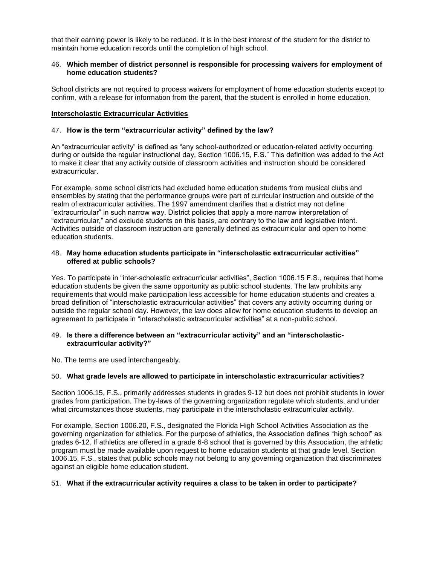that their earning power is likely to be reduced. It is in the best interest of the student for the district to maintain home education records until the completion of high school.

### 46. **Which member of district personnel is responsible for processing waivers for employment of home education students?**

School districts are not required to process waivers for employment of home education students except to confirm, with a release for information from the parent, that the student is enrolled in home education.

# **Interscholastic Extracurricular Activities**

### 47. **How is the term "extracurricular activity" defined by the law?**

An "extracurricular activity" is defined as "any school-authorized or education-related activity occurring during or outside the regular instructional day, Section 1006.15, F.S." This definition was added to the Act to make it clear that any activity outside of classroom activities and instruction should be considered extracurricular.

For example, some school districts had excluded home education students from musical clubs and ensembles by stating that the performance groups were part of curricular instruction and outside of the realm of extracurricular activities. The 1997 amendment clarifies that a district may not define "extracurricular" in such narrow way. District policies that apply a more narrow interpretation of "extracurricular," and exclude students on this basis, are contrary to the law and legislative intent. Activities outside of classroom instruction are generally defined as extracurricular and open to home education students.

### 48. **May home education students participate in "interscholastic extracurricular activities" offered at public schools?**

Yes. To participate in "inter-scholastic extracurricular activities", Section 1006.15 F.S., requires that home education students be given the same opportunity as public school students. The law prohibits any requirements that would make participation less accessible for home education students and creates a broad definition of "interscholastic extracurricular activities" that covers any activity occurring during or outside the regular school day. However, the law does allow for home education students to develop an agreement to participate in "interscholastic extracurricular activities" at a non-public school.

### 49. **Is there a difference between an "extracurricular activity" and an "interscholasticextracurricular activity?"**

No. The terms are used interchangeably.

### 50. **What grade levels are allowed to participate in interscholastic extracurricular activities?**

Section 1006.15, F.S., primarily addresses students in grades 9-12 but does not prohibit students in lower grades from participation. The by-laws of the governing organization regulate which students, and under what circumstances those students, may participate in the interscholastic extracurricular activity.

For example, Section 1006.20, F.S., designated the Florida High School Activities Association as the governing organization for athletics. For the purpose of athletics, the Association defines "high school" as grades 6-12. If athletics are offered in a grade 6-8 school that is governed by this Association, the athletic program must be made available upon request to home education students at that grade level. Section 1006.15, F.S., states that public schools may not belong to any governing organization that discriminates against an eligible home education student.

### 51. **What if the extracurricular activity requires a class to be taken in order to participate?**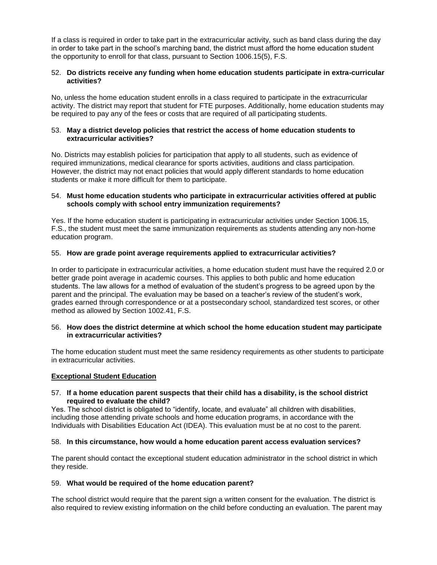If a class is required in order to take part in the extracurricular activity, such as band class during the day in order to take part in the school's marching band, the district must afford the home education student the opportunity to enroll for that class, pursuant to Section 1006.15(5), F.S.

### 52. **Do districts receive any funding when home education students participate in extra-curricular activities?**

No, unless the home education student enrolls in a class required to participate in the extracurricular activity. The district may report that student for FTE purposes. Additionally, home education students may be required to pay any of the fees or costs that are required of all participating students.

#### 53. **May a district develop policies that restrict the access of home education students to extracurricular activities?**

No. Districts may establish policies for participation that apply to all students, such as evidence of required immunizations, medical clearance for sports activities, auditions and class participation. However, the district may not enact policies that would apply different standards to home education students or make it more difficult for them to participate.

### 54. **Must home education students who participate in extracurricular activities offered at public schools comply with school entry immunization requirements?**

Yes. If the home education student is participating in extracurricular activities under Section 1006.15, F.S., the student must meet the same immunization requirements as students attending any non-home education program.

# 55. **How are grade point average requirements applied to extracurricular activities?**

In order to participate in extracurricular activities, a home education student must have the required 2.0 or better grade point average in academic courses. This applies to both public and home education students. The law allows for a method of evaluation of the student's progress to be agreed upon by the parent and the principal. The evaluation may be based on a teacher's review of the student's work, grades earned through correspondence or at a postsecondary school, standardized test scores, or other method as allowed by Section 1002.41, F.S.

### 56. **How does the district determine at which school the home education student may participate in extracurricular activities?**

The home education student must meet the same residency requirements as other students to participate in extracurricular activities.

### **Exceptional Student Education**

### 57. **If a home education parent suspects that their child has a disability, is the school district required to evaluate the child?**

Yes. The school district is obligated to "identify, locate, and evaluate" all children with disabilities, including those attending private schools and home education programs, in accordance with the Individuals with Disabilities Education Act (IDEA). This evaluation must be at no cost to the parent.

### 58. **In this circumstance, how would a home education parent access evaluation services?**

The parent should contact the exceptional student education administrator in the school district in which they reside.

# 59. **What would be required of the home education parent?**

The school district would require that the parent sign a written consent for the evaluation. The district is also required to review existing information on the child before conducting an evaluation. The parent may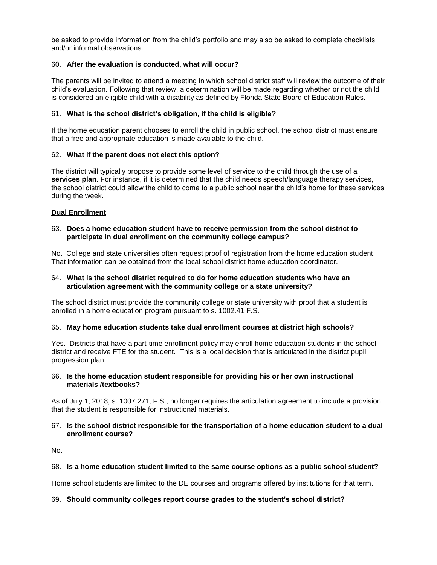be asked to provide information from the child's portfolio and may also be asked to complete checklists and/or informal observations.

# 60. **After the evaluation is conducted, what will occur?**

The parents will be invited to attend a meeting in which school district staff will review the outcome of their child's evaluation. Following that review, a determination will be made regarding whether or not the child is considered an eligible child with a disability as defined by Florida State Board of Education Rules.

# 61. **What is the school district's obligation, if the child is eligible?**

If the home education parent chooses to enroll the child in public school, the school district must ensure that a free and appropriate education is made available to the child.

# 62. **What if the parent does not elect this option?**

The district will typically propose to provide some level of service to the child through the use of a **services plan**. For instance, if it is determined that the child needs speech/language therapy services, the school district could allow the child to come to a public school near the child's home for these services during the week.

# **Dual Enrollment**

### 63. **Does a home education student have to receive permission from the school district to participate in dual enrollment on the community college campus?**

No. College and state universities often request proof of registration from the home education student. That information can be obtained from the local school district home education coordinator.

### 64. **What is the school district required to do for home education students who have an articulation agreement with the community college or a state university?**

The school district must provide the community college or state university with proof that a student is enrolled in a home education program pursuant to s. 1002.41 F.S.

### 65. **May home education students take dual enrollment courses at district high schools?**

Yes. Districts that have a part-time enrollment policy may enroll home education students in the school district and receive FTE for the student. This is a local decision that is articulated in the district pupil progression plan.

### 66. **Is the home education student responsible for providing his or her own instructional materials /textbooks?**

As of July 1, 2018, s. 1007.271, F.S., no longer requires the articulation agreement to include a provision that the student is responsible for instructional materials.

### 67. **Is the school district responsible for the transportation of a home education student to a dual enrollment course?**

No.

### 68. **Is a home education student limited to the same course options as a public school student?**

Home school students are limited to the DE courses and programs offered by institutions for that term.

### 69. **Should community colleges report course grades to the student's school district?**